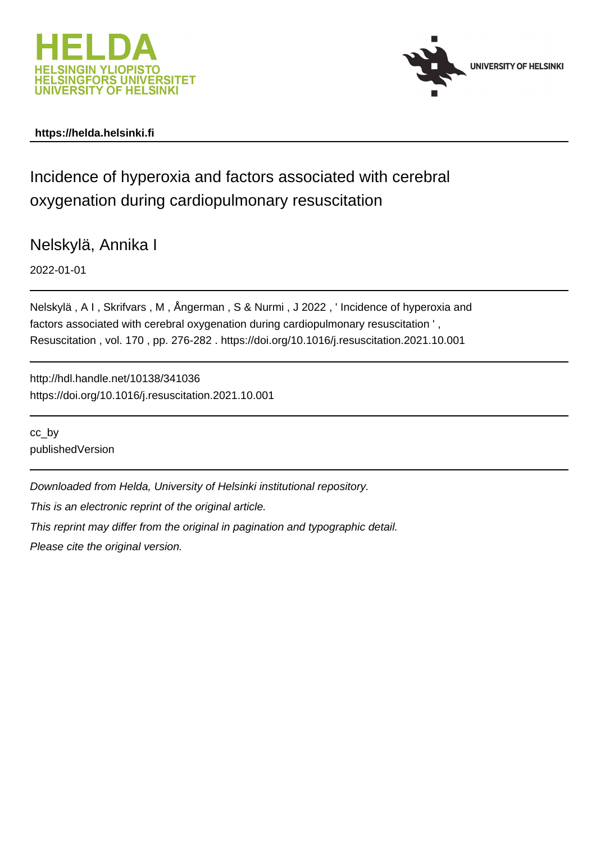



# **https://helda.helsinki.fi**

# Incidence of hyperoxia and factors associated with cerebral oxygenation during cardiopulmonary resuscitation

Nelskylä, Annika I

2022-01-01

Nelskylä , A I , Skrifvars , M , Ångerman , S & Nurmi , J 2022 , ' Incidence of hyperoxia and factors associated with cerebral oxygenation during cardiopulmonary resuscitation ' , Resuscitation , vol. 170 , pp. 276-282 . https://doi.org/10.1016/j.resuscitation.2021.10.001

http://hdl.handle.net/10138/341036 https://doi.org/10.1016/j.resuscitation.2021.10.001

cc\_by publishedVersion

Downloaded from Helda, University of Helsinki institutional repository.

This is an electronic reprint of the original article.

This reprint may differ from the original in pagination and typographic detail.

Please cite the original version.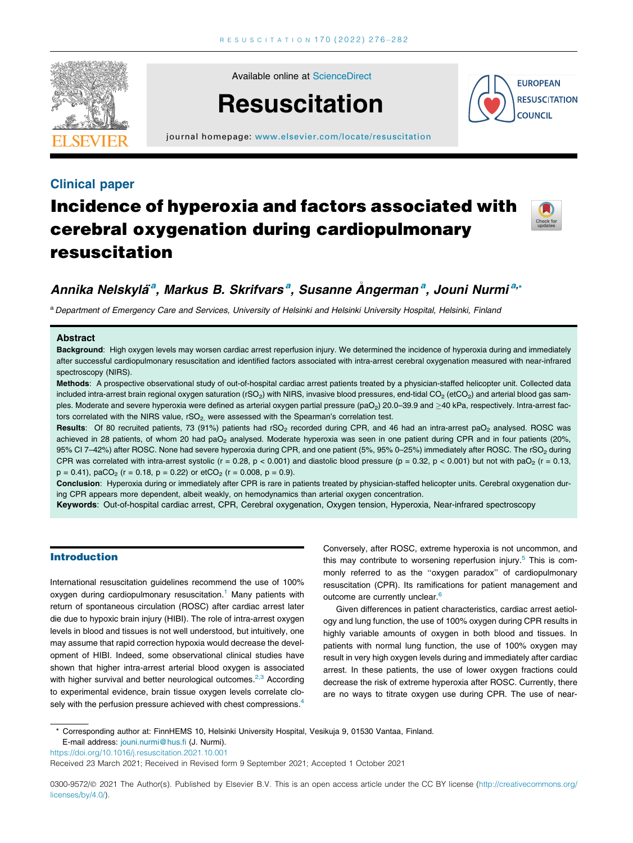

Available online at [ScienceDirect](http://www.sciencedirect.com/science/journal/03009572)

# **Resuscitation**



journal homepage: [www.elsevier.com/locate/resuscitation](http://www.elsevier.com/locate/resuscitation)

# Clinical paper Incidence of hyperoxia and factors associated with cerebral oxygenation during cardiopulmonary resuscitation



# Annika Nelskyläª, Markus B. Skrifvarsª, Susanne Ångermanª, Jouni Nurmiª,∗

a Department of Emergency Care and Services, University of Helsinki and Helsinki University Hospital, Helsinki, Finland

#### **Abstract**

Background: High oxygen levels may worsen cardiac arrest reperfusion injury. We determined the incidence of hyperoxia during and immediately after successful cardiopulmonary resuscitation and identified factors associated with intra-arrest cerebral oxygenation measured with near-infrared spectroscopy (NIRS).

Methods: A prospective observational study of out-of-hospital cardiac arrest patients treated by a physician-staffed helicopter unit. Collected data included intra-arrest brain regional oxygen saturation (rSO<sub>2</sub>) with NIRS, invasive blood pressures, end-tidal CO<sub>2</sub> (etCO<sub>2</sub>) and arterial blood gas samples. Moderate and severe hyperoxia were defined as arterial oxygen partial pressure (paO<sub>2</sub>) 20.0–39.9 and >40 kPa, respectively. Intra-arrest factors correlated with the NIRS value, rSO<sub>2</sub>, were assessed with the Spearman's correlation test.

Results: Of 80 recruited patients, 73 (91%) patients had rSO<sub>2</sub> recorded during CPR, and 46 had an intra-arrest paO<sub>2</sub> analysed. ROSC was achieved in 28 patients, of whom 20 had paO<sub>2</sub> analysed. Moderate hyperoxia was seen in one patient during CPR and in four patients (20%, 95% CI 7-42%) after ROSC. None had severe hyperoxia during CPR, and one patient (5%, 95% 0-25%) immediately after ROSC. The rSO<sub>2</sub> during CPR was correlated with intra-arrest systolic (r = 0.28, p < 0.001) and diastolic blood pressure (p = 0.32, p < 0.001) but not with paO<sub>2</sub> (r = 0.13,  $p = 0.41$ , paCO<sub>2</sub> (r = 0.18, p = 0.22) or etCO<sub>2</sub> (r = 0.008, p = 0.9).

Conclusion: Hyperoxia during or immediately after CPR is rare in patients treated by physician-staffed helicopter units. Cerebral oxygenation during CPR appears more dependent, albeit weakly, on hemodynamics than arterial oxygen concentration.

Keywords: Out-of-hospital cardiac arrest, CPR, Cerebral oxygenation, Oxygen tension, Hyperoxia, Near-infrared spectroscopy

# Introduction

International resuscitation guidelines recommend the use of 100% oxygen during cardiopulmonary resuscitation.<sup>1</sup> Many patients with return of spontaneous circulation (ROSC) after cardiac arrest later die due to hypoxic brain injury (HIBI). The role of intra-arrest oxygen levels in blood and tissues is not well understood, but intuitively, one may assume that rapid correction hypoxia would decrease the development of HIBI. Indeed, some observational clinical studies have shown that higher intra-arrest arterial blood oxygen is associated with higher survival and better neurological outcomes. $2.3$  According to experimental evidence, brain tissue oxygen levels correlate closely with the perfusion pressure achieved with chest compressions.<sup>4</sup>

Conversely, after ROSC, extreme hyperoxia is not uncommon, and this may contribute to worsening reperfusion injury.<sup>5</sup> This is commonly referred to as the "oxygen paradox" of cardiopulmonary resuscitation (CPR). Its ramifications for patient management and outcome are currently unclear.<sup>6</sup>

Given differences in patient characteristics, cardiac arrest aetiology and lung function, the use of 100% oxygen during CPR results in highly variable amounts of oxygen in both blood and tissues. In patients with normal lung function, the use of 100% oxygen may result in very high oxygen levels during and immediately after cardiac arrest. In these patients, the use of lower oxygen fractions could decrease the risk of extreme hyperoxia after ROSC. Currently, there are no ways to titrate oxygen use during CPR. The use of near-

\* Corresponding author at: FinnHEMS 10, Helsinki University Hospital, Vesikuja 9, 01530 Vantaa, Finland. E-mail address: [jouni.nurmi@hus.fi](mailto:jouni.nurmi@hus.fi) (J. Nurmi).

<https://doi.org/10.1016/j.resuscitation.2021.10.001>

Received 23 March 2021; Received in Revised form 9 September 2021; Accepted 1 October 2021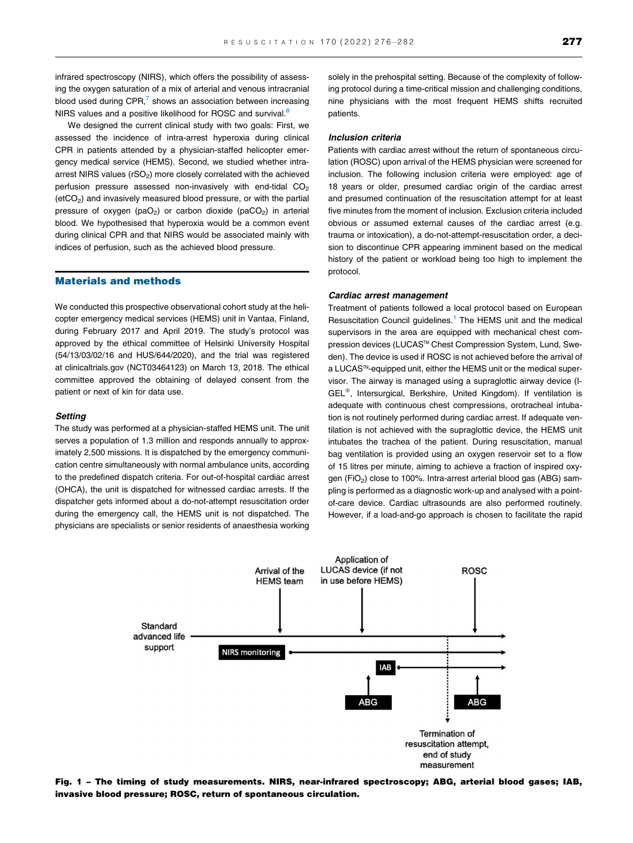infrared spectroscopy (NIRS), which offers the possibility of assessing the oxygen saturation of a mix of arterial and venous intracranial blood used during  $CPR$ , $7$  shows an association between increasing NIRS values and a positive likelihood for ROSC and survival.<sup>8</sup>

We designed the current clinical study with two goals: First, we assessed the incidence of intra-arrest hyperoxia during clinical CPR in patients attended by a physician-staffed helicopter emergency medical service (HEMS). Second, we studied whether intraarrest NIRS values ( $rSO<sub>2</sub>$ ) more closely correlated with the achieved perfusion pressure assessed non-invasively with end-tidal  $CO<sub>2</sub>$  $(etcO<sub>2</sub>)$  and invasively measured blood pressure, or with the partial pressure of oxygen (paO<sub>2</sub>) or carbon dioxide (paCO<sub>2</sub>) in arterial blood. We hypothesised that hyperoxia would be a common event during clinical CPR and that NIRS would be associated mainly with indices of perfusion, such as the achieved blood pressure.

## Materials and methods

We conducted this prospective observational cohort study at the helicopter emergency medical services (HEMS) unit in Vantaa, Finland, during February 2017 and April 2019. The study's protocol was approved by the ethical committee of Helsinki University Hospital (54/13/03/02/16 and HUS/644/2020), and the trial was registered at clinicaltrials.gov (NCT03464123) on March 13, 2018. The ethical committee approved the obtaining of delayed consent from the patient or next of kin for data use.

#### **Setting**

The study was performed at a physician-staffed HEMS unit. The unit serves a population of 1.3 million and responds annually to approximately 2,500 missions. It is dispatched by the emergency communication centre simultaneously with normal ambulance units, according to the predefined dispatch criteria. For out-of-hospital cardiac arrest (OHCA), the unit is dispatched for witnessed cardiac arrests. If the dispatcher gets informed about a do-not-attempt resuscitation order during the emergency call, the HEMS unit is not dispatched. The physicians are specialists or senior residents of anaesthesia working solely in the prehospital setting. Because of the complexity of following protocol during a time-critical mission and challenging conditions, nine physicians with the most frequent HEMS shifts recruited patients.

#### Inclusion criteria

Patients with cardiac arrest without the return of spontaneous circulation (ROSC) upon arrival of the HEMS physician were screened for inclusion. The following inclusion criteria were employed: age of 18 years or older, presumed cardiac origin of the cardiac arrest and presumed continuation of the resuscitation attempt for at least five minutes from the moment of inclusion. Exclusion criteria included obvious or assumed external causes of the cardiac arrest (e.g. trauma or intoxication), a do-not-attempt-resuscitation order, a decision to discontinue CPR appearing imminent based on the medical history of the patient or workload being too high to implement the protocol.

#### Cardiac arrest management

Treatment of patients followed a local protocol based on European Resuscitation Council guidelines.<sup>1</sup> The HEMS unit and the medical supervisors in the area are equipped with mechanical chest compression devices (LUCAS™ Chest Compression System, Lund, Sweden). The device is used if ROSC is not achieved before the arrival of a LUCAS™-equipped unit, either the HEMS unit or the medical supervisor. The airway is managed using a supraglottic airway device (I-GEL<sup>®</sup>, Intersurgical, Berkshire, United Kingdom). If ventilation is adequate with continuous chest compressions, orotracheal intubation is not routinely performed during cardiac arrest. If adequate ventilation is not achieved with the supraglottic device, the HEMS unit intubates the trachea of the patient. During resuscitation, manual bag ventilation is provided using an oxygen reservoir set to a flow of 15 litres per minute, aiming to achieve a fraction of inspired oxygen (FiO<sub>2</sub>) close to 100%. Intra-arrest arterial blood gas (ABG) sampling is performed as a diagnostic work-up and analysed with a pointof-care device. Cardiac ultrasounds are also performed routinely. However, if a load-and-go approach is chosen to facilitate the rapid



Fig. 1 – The timing of study measurements. NIRS, near-infrared spectroscopy; ABG, arterial blood gases; IAB, invasive blood pressure; ROSC, return of spontaneous circulation.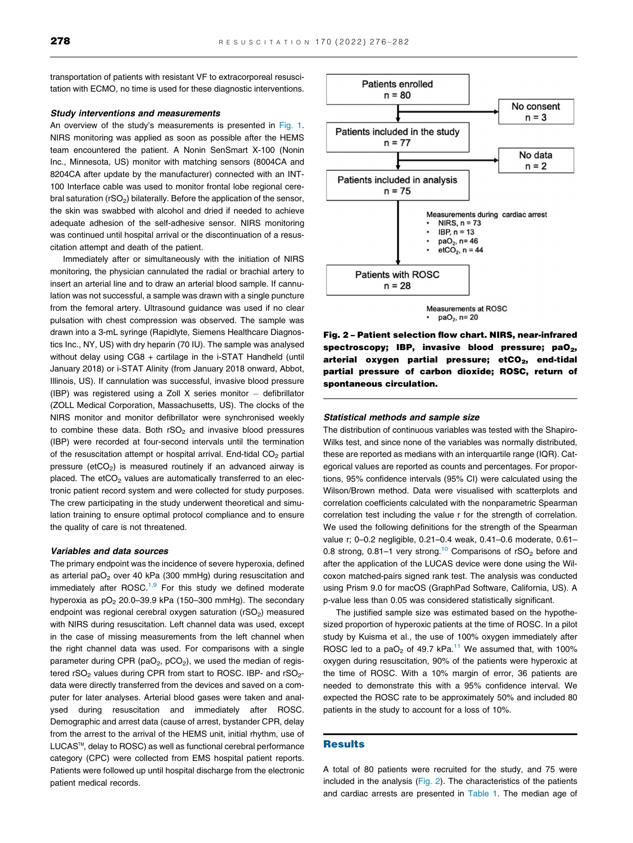transportation of patients with resistant VF to extracorporeal resuscitation with ECMO, no time is used for these diagnostic interventions.

# Study interventions and measurements

An overview of the study's measurements is presented in Fig. 1. NIRS monitoring was applied as soon as possible after the HEMS team encountered the patient. A Nonin SenSmart X-100 (Nonin Inc., Minnesota, US) monitor with matching sensors (8004CA and 8204CA after update by the manufacturer) connected with an INT-100 Interface cable was used to monitor frontal lobe regional cerebral saturation ( $rSO<sub>2</sub>$ ) bilaterally. Before the application of the sensor, the skin was swabbed with alcohol and dried if needed to achieve adequate adhesion of the self-adhesive sensor. NIRS monitoring was continued until hospital arrival or the discontinuation of a resuscitation attempt and death of the patient.

Immediately after or simultaneously with the initiation of NIRS monitoring, the physician cannulated the radial or brachial artery to insert an arterial line and to draw an arterial blood sample. If cannulation was not successful, a sample was drawn with a single puncture from the femoral artery. Ultrasound guidance was used if no clear pulsation with chest compression was observed. The sample was drawn into a 3-mL syringe (Rapidlyte, Siemens Healthcare Diagnostics Inc., NY, US) with dry heparin (70 IU). The sample was analysed without delay using CG8 + cartilage in the i-STAT Handheld (until January 2018) or i-STAT Alinity (from January 2018 onward, Abbot, Illinois, US). If cannulation was successful, invasive blood pressure (IBP) was registered using a Zoll X series monitor  $-$  defibrillator (ZOLL Medical Corporation, Massachusetts, US). The clocks of the NIRS monitor and monitor defibrillator were synchronised weekly to combine these data. Both  $rSO<sub>2</sub>$  and invasive blood pressures (IBP) were recorded at four-second intervals until the termination of the resuscitation attempt or hospital arrival. End-tidal  $CO<sub>2</sub>$  partial pressure (etCO<sub>2</sub>) is measured routinely if an advanced airway is placed. The  $etCO<sub>2</sub>$  values are automatically transferred to an electronic patient record system and were collected for study purposes. The crew participating in the study underwent theoretical and simulation training to ensure optimal protocol compliance and to ensure the quality of care is not threatened.

#### Variables and data sources

The primary endpoint was the incidence of severe hyperoxia, defined as arterial pa $O<sub>2</sub>$  over 40 kPa (300 mmHg) during resuscitation and immediately after ROSC. $1,9$  For this study we defined moderate hyperoxia as  $pO<sub>2</sub>$  20.0–39.9 kPa (150–300 mmHg). The secondary endpoint was regional cerebral oxygen saturation  $(rSO<sub>2</sub>)$  measured with NIRS during resuscitation. Left channel data was used, except in the case of missing measurements from the left channel when the right channel data was used. For comparisons with a single parameter during CPR (paO<sub>2</sub>, pCO<sub>2</sub>), we used the median of registered  $rSO<sub>2</sub>$  values during CPR from start to ROSC. IBP- and  $rSO<sub>2</sub>$ data were directly transferred from the devices and saved on a computer for later analyses. Arterial blood gases were taken and analysed during resuscitation and immediately after ROSC. Demographic and arrest data (cause of arrest, bystander CPR, delay from the arrest to the arrival of the HEMS unit, initial rhythm, use of LUCAS™, delay to ROSC) as well as functional cerebral performance category (CPC) were collected from EMS hospital patient reports. Patients were followed up until hospital discharge from the electronic patient medical records.



 $paO<sub>2</sub>$ , n= 20

Fig. 2 – Patient selection flow chart. NIRS, near-infrared spectroscopy; IBP, invasive blood pressure;  $paO<sub>2</sub>$ , arterial oxygen partial pressure; etCO<sub>2</sub>, end-tidal partial pressure of carbon dioxide; ROSC, return of spontaneous circulation.

#### Statistical methods and sample size

The distribution of continuous variables was tested with the Shapiro-Wilks test, and since none of the variables was normally distributed, these are reported as medians with an interquartile range (IQR). Categorical values are reported as counts and percentages. For proportions, 95% confidence intervals (95% CI) were calculated using the Wilson/Brown method. Data were visualised with scatterplots and correlation coefficients calculated with the nonparametric Spearman correlation test including the value r for the strength of correlation. We used the following definitions for the strength of the Spearman value r; 0–0.2 negligible, 0.21–0.4 weak, 0.41–0.6 moderate, 0.61– 0.8 strong, 0.81-1 very strong.<sup>10</sup> Comparisons of  $rSO<sub>2</sub>$  before and after the application of the LUCAS device were done using the Wilcoxon matched-pairs signed rank test. The analysis was conducted using Prism 9.0 for macOS (GraphPad Software, California, US). A p-value less than 0.05 was considered statistically significant.

The justified sample size was estimated based on the hypothesized proportion of hyperoxic patients at the time of ROSC. In a pilot study by Kuisma et al., the use of 100% oxygen immediately after ROSC led to a paO<sub>2</sub> of 49.7 kPa.<sup>11</sup> We assumed that, with 100% oxygen during resuscitation, 90% of the patients were hyperoxic at the time of ROSC. With a 10% margin of error, 36 patients are needed to demonstrate this with a 95% confidence interval. We expected the ROSC rate to be approximately 50% and included 80 patients in the study to account for a loss of 10%.

## Results

A total of 80 patients were recruited for the study, and 75 were included in the analysis (Fig. 2). The characteristics of the patients and cardiac arrests are presented in Table 1. The median age of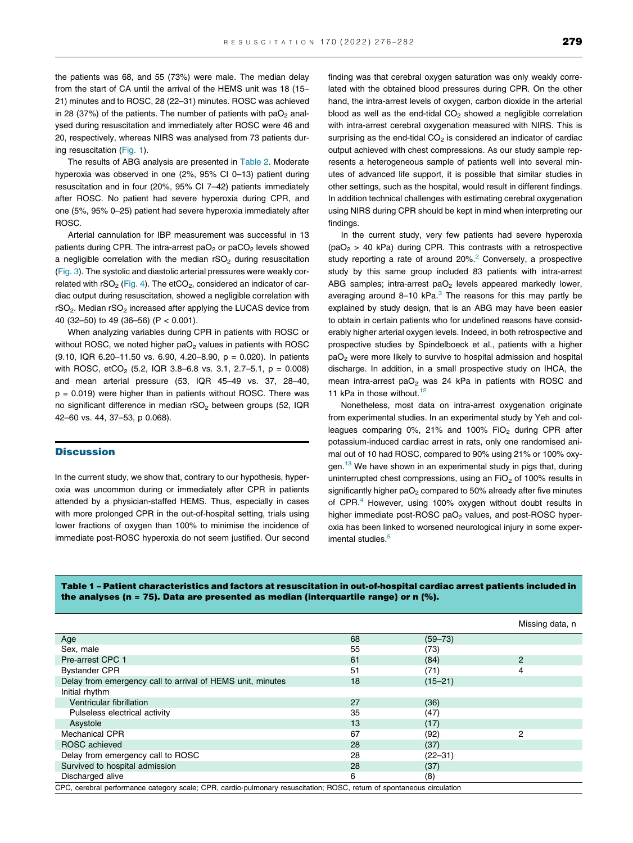the patients was 68, and 55 (73%) were male. The median delay from the start of CA until the arrival of the HEMS unit was 18 (15– 21) minutes and to ROSC, 28 (22–31) minutes. ROSC was achieved in 28 (37%) of the patients. The number of patients with  $paO<sub>2</sub>$  analysed during resuscitation and immediately after ROSC were 46 and 20, respectively, whereas NIRS was analysed from 73 patients during resuscitation (Fig. 1).

The results of ABG analysis are presented in Table 2. Moderate hyperoxia was observed in one (2%, 95% CI 0–13) patient during resuscitation and in four (20%, 95% CI 7–42) patients immediately after ROSC. No patient had severe hyperoxia during CPR, and one (5%, 95% 0–25) patient had severe hyperoxia immediately after ROSC.

Arterial cannulation for IBP measurement was successful in 13 patients during CPR. The intra-arrest  $paO<sub>2</sub>$  or  $paCO<sub>2</sub>$  levels showed a negligible correlation with the median  $rSO<sub>2</sub>$  during resuscitation (Fig. 3). The systolic and diastolic arterial pressures were weakly correlated with  $rSO<sub>2</sub>$  (Fig. 4). The etCO<sub>2</sub>, considered an indicator of cardiac output during resuscitation, showed a negligible correlation with  $rSO<sub>2</sub>$ . Median  $rSO<sub>2</sub>$  increased after applying the LUCAS device from 40 (32–50) to 49 (36–56) (P < 0.001).

When analyzing variables during CPR in patients with ROSC or without ROSC, we noted higher  $paO<sub>2</sub>$  values in patients with ROSC  $(9.10,$  IQR 6.20–11.50 vs. 6.90, 4.20–8.90,  $p = 0.020$ ). In patients with ROSC, etCO<sub>2</sub> (5.2, IQR 3.8–6.8 vs. 3.1, 2.7–5.1,  $p = 0.008$ ) and mean arterial pressure (53, IQR 45–49 vs. 37, 28–40,  $p = 0.019$ ) were higher than in patients without ROSC. There was no significant difference in median rSO<sub>2</sub> between groups (52, IQR 42–60 vs. 44, 37–53, p 0.068).

#### **Discussion**

In the current study, we show that, contrary to our hypothesis, hyperoxia was uncommon during or immediately after CPR in patients attended by a physician-staffed HEMS. Thus, especially in cases with more prolonged CPR in the out-of-hospital setting, trials using lower fractions of oxygen than 100% to minimise the incidence of immediate post-ROSC hyperoxia do not seem justified. Our second finding was that cerebral oxygen saturation was only weakly correlated with the obtained blood pressures during CPR. On the other hand, the intra-arrest levels of oxygen, carbon dioxide in the arterial blood as well as the end-tidal  $CO<sub>2</sub>$  showed a negligible correlation with intra-arrest cerebral oxygenation measured with NIRS. This is surprising as the end-tidal  $CO<sub>2</sub>$  is considered an indicator of cardiac output achieved with chest compressions. As our study sample represents a heterogeneous sample of patients well into several minutes of advanced life support, it is possible that similar studies in other settings, such as the hospital, would result in different findings. In addition technical challenges with estimating cerebral oxygenation using NIRS during CPR should be kept in mind when interpreting our findings.

In the current study, very few patients had severe hyperoxia  $(paO<sub>2</sub> > 40$  kPa) during CPR. This contrasts with a retrospective study reporting a rate of around 20%.<sup>2</sup> Conversely, a prospective study by this same group included 83 patients with intra-arrest ABG samples; intra-arrest pa $O<sub>2</sub>$  levels appeared markedly lower, averaging around 8–10 kPa. $3$  The reasons for this may partly be explained by study design, that is an ABG may have been easier to obtain in certain patients who for undefined reasons have considerably higher arterial oxygen levels. Indeed, in both retrospective and prospective studies by Spindelboeck et al., patients with a higher paO<sub>2</sub> were more likely to survive to hospital admission and hospital discharge. In addition, in a small prospective study on IHCA, the mean intra-arrest  $paO<sub>2</sub>$  was 24 kPa in patients with ROSC and 11 kPa in those without. $12$ 

Nonetheless, most data on intra-arrest oxygenation originate from experimental studies. In an experimental study by Yeh and colleagues comparing 0%, 21% and 100%  $FiO<sub>2</sub>$  during CPR after potassium-induced cardiac arrest in rats, only one randomised animal out of 10 had ROSC, compared to 90% using 21% or 100% oxygen. $13$  We have shown in an experimental study in pigs that, during uninterrupted chest compressions, using an  $FiO<sub>2</sub>$  of 100% results in significantly higher  $paO<sub>2</sub>$  compared to 50% already after five minutes of CPR.<sup>4</sup> However, using 100% oxygen without doubt results in higher immediate post-ROSC pa $O<sub>2</sub>$  values, and post-ROSC hyperoxia has been linked to worsened neurological injury in some experimental studies.<sup>5</sup>

## Table 1 – Patient characteristics and factors at resuscitation in out-of-hospital cardiac arrest patients included in the analyses (n = 75). Data are presented as median (interquartile range) or  $n$  (%).

|                                                                                                              |    |             | Missing data, n |  |  |
|--------------------------------------------------------------------------------------------------------------|----|-------------|-----------------|--|--|
| Age                                                                                                          | 68 | $(59 - 73)$ |                 |  |  |
| Sex, male                                                                                                    | 55 | (73)        |                 |  |  |
| Pre-arrest CPC 1                                                                                             | 61 | (84)        | 2               |  |  |
| <b>Bystander CPR</b>                                                                                         | 51 | (71)        | 4               |  |  |
| Delay from emergency call to arrival of HEMS unit, minutes                                                   | 18 | $(15 - 21)$ |                 |  |  |
| Initial rhythm                                                                                               |    |             |                 |  |  |
| Ventricular fibrillation                                                                                     | 27 | (36)        |                 |  |  |
| Pulseless electrical activity                                                                                | 35 | (47)        |                 |  |  |
| Asystole                                                                                                     | 13 | (17)        |                 |  |  |
| <b>Mechanical CPR</b>                                                                                        | 67 | (92)        | 2               |  |  |
| ROSC achieved                                                                                                | 28 | (37)        |                 |  |  |
| Delay from emergency call to ROSC                                                                            | 28 | $(22 - 31)$ |                 |  |  |
| Survived to hospital admission                                                                               | 28 | (37)        |                 |  |  |
| Discharged alive                                                                                             | 6  | (8)         |                 |  |  |
| CDC, excepted nothermanas actores usedo CDD, equipmentary requestation: DOCC, return of examples airquiption |    |             |                 |  |  |

PC, cerebral performance category scale; CPR, cardio-pulmonary resuscitation; ROSC, return of spontaneous circulatior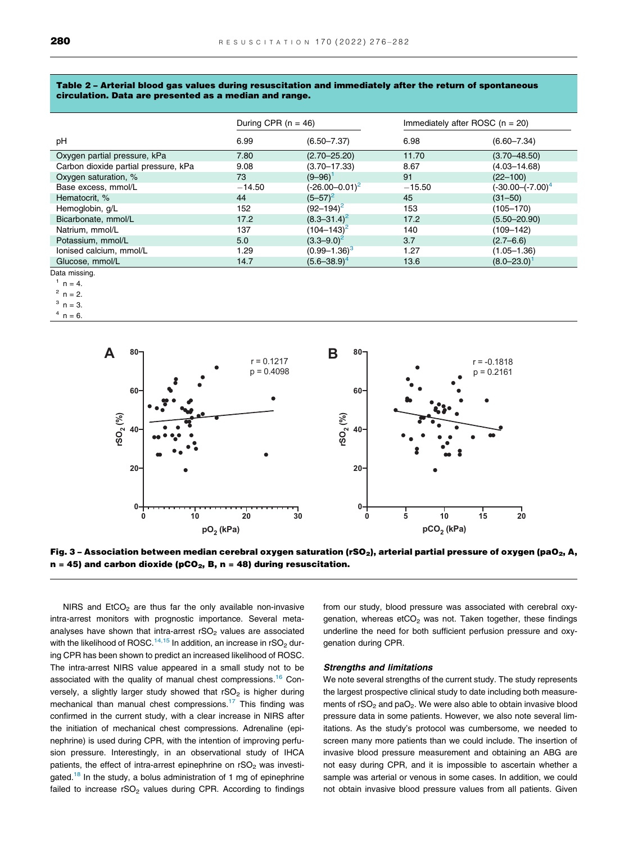#### Table 2 – Arterial blood gas values during resuscitation and immediately after the return of spontaneous circulation. Data are presented as a median and range.

|                                      | During CPR $(n = 46)$ |                     | Immediately after ROSC $(n = 20)$ |                       |
|--------------------------------------|-----------------------|---------------------|-----------------------------------|-----------------------|
| pH                                   | 6.99                  | $(6.50 - 7.37)$     | 6.98                              | $(6.60 - 7.34)$       |
| Oxygen partial pressure, kPa         | 7.80                  | $(2.70 - 25.20)$    | 11.70                             | $(3.70 - 48.50)$      |
| Carbon dioxide partial pressure, kPa | 9.08                  | $(3.70 - 17.33)$    | 8.67                              | $(4.03 - 14.68)$      |
| Oxygen saturation, %                 | 73                    | $(9 - 96)^1$        | 91                                | $(22 - 100)$          |
| Base excess, mmol/L                  | $-14.50$              | $(-26.00 - 0.01)^2$ | $-15.50$                          | $(-30.00 - (-7.00)^4$ |
| Hematocrit, %                        | 44                    | $(5 - 57)^2$        | 45                                | $(31 - 50)$           |
| Hemoglobin, g/L                      | 152                   | $(92 - 194)^2$      | 153                               | $(105 - 170)$         |
| Bicarbonate, mmol/L                  | 17.2                  | $(8.3 - 31.4)^2$    | 17.2                              | $(5.50 - 20.90)$      |
| Natrium, mmol/L                      | 137                   | $(104 - 143)^2$     | 140                               | (109–142)             |
| Potassium, mmol/L                    | 5.0                   | $(3.3 - 9.0)^2$     | 3.7                               | $(2.7 - 6.6)$         |
| Ionised calcium, mmol/L              | 1.29                  | $(0.99 - 1.36)^3$   | 1.27                              | $(1.05 - 1.36)$       |
| Glucose, mmol/L                      | 14.7                  | $(5.6 - 38.9)^4$    | 13.6                              | $(8.0 - 23.0)$        |

Data missing.

 $1 n = 4$ .

 $2 n = 2.$ 

 $3 n = 3$ .

 $n = 6$ .



Fig. 3 – Association between median cerebral oxygen saturation (rSO<sub>2</sub>), arterial partial pressure of oxygen (paO<sub>2</sub>, A,  $n = 45$ ) and carbon dioxide (pCO<sub>2</sub>, B, n = 48) during resuscitation.

NIRS and  $EtCO<sub>2</sub>$  are thus far the only available non-invasive intra-arrest monitors with prognostic importance. Several metaanalyses have shown that intra-arrest  $rSO<sub>2</sub>$  values are associated with the likelihood of ROSC.<sup>14,15</sup> In addition, an increase in  $rSO<sub>2</sub>$  during CPR has been shown to predict an increased likelihood of ROSC. The intra-arrest NIRS value appeared in a small study not to be associated with the quality of manual chest compressions.<sup>16</sup> Conversely, a slightly larger study showed that  $rSO<sub>2</sub>$  is higher during mechanical than manual chest compressions.<sup>17</sup> This finding was confirmed in the current study, with a clear increase in NIRS after the initiation of mechanical chest compressions. Adrenaline (epinephrine) is used during CPR, with the intention of improving perfusion pressure. Interestingly, in an observational study of IHCA patients, the effect of intra-arrest epinephrine on  $rSO<sub>2</sub>$  was investigated.<sup>18</sup> In the study, a bolus administration of 1 mg of epinephrine failed to increase  $rSO<sub>2</sub>$  values during CPR. According to findings from our study, blood pressure was associated with cerebral oxygenation, whereas etCO<sub>2</sub> was not. Taken together, these findings underline the need for both sufficient perfusion pressure and oxygenation during CPR.

### Strengths and limitations

We note several strengths of the current study. The study represents the largest prospective clinical study to date including both measurements of  $rSO<sub>2</sub>$  and  $paO<sub>2</sub>$ . We were also able to obtain invasive blood pressure data in some patients. However, we also note several limitations. As the study's protocol was cumbersome, we needed to screen many more patients than we could include. The insertion of invasive blood pressure measurement and obtaining an ABG are not easy during CPR, and it is impossible to ascertain whether a sample was arterial or venous in some cases. In addition, we could not obtain invasive blood pressure values from all patients. Given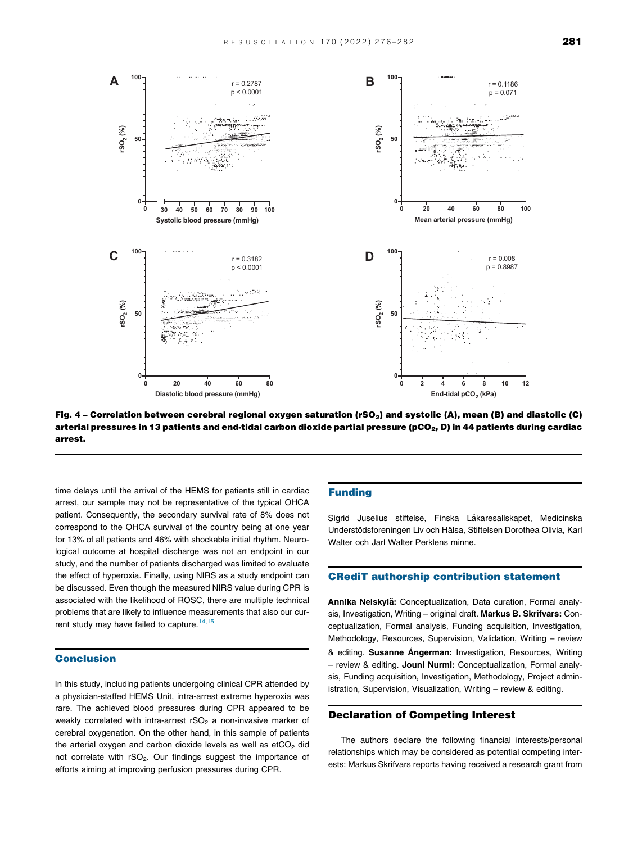

Fig. 4 – Correlation between cerebral regional oxygen saturation (rSO<sub>2</sub>) and systolic (A), mean (B) and diastolic (C) arterial pressures in 13 patients and end-tidal carbon dioxide partial pressure (pCO<sub>2</sub>, D) in 44 patients during cardiac arrest.

time delays until the arrival of the HEMS for patients still in cardiac arrest, our sample may not be representative of the typical OHCA patient. Consequently, the secondary survival rate of 8% does not correspond to the OHCA survival of the country being at one year for 13% of all patients and 46% with shockable initial rhythm. Neurological outcome at hospital discharge was not an endpoint in our study, and the number of patients discharged was limited to evaluate the effect of hyperoxia. Finally, using NIRS as a study endpoint can be discussed. Even though the measured NIRS value during CPR is associated with the likelihood of ROSC, there are multiple technical problems that are likely to influence measurements that also our current study may have failed to capture.<sup>14,15</sup>

# Conclusion

In this study, including patients undergoing clinical CPR attended by a physician-staffed HEMS Unit, intra-arrest extreme hyperoxia was rare. The achieved blood pressures during CPR appeared to be weakly correlated with intra-arrest  $rSO<sub>2</sub>$  a non-invasive marker of cerebral oxygenation. On the other hand, in this sample of patients the arterial oxygen and carbon dioxide levels as well as  $etCO<sub>2</sub>$  did not correlate with rSO<sub>2</sub>. Our findings suggest the importance of efforts aiming at improving perfusion pressures during CPR.

# Funding

Sigrid Juselius stiftelse, Finska Läkaresallskapet, Medicinska Understödsforeningen Liv och Hälsa, Stiftelsen Dorothea Olivia, Karl Walter och Jarl Walter Perklens minne.

# CRediT authorship contribution statement

Annika Nelskylä: Conceptualization, Data curation, Formal analysis, Investigation, Writing – original draft. Markus B. Skrifvars: Conceptualization, Formal analysis, Funding acquisition, Investigation, Methodology, Resources, Supervision, Validation, Writing – review & editing. Susanne Angerman: Investigation, Resources, Writing – review & editing. Jouni Nurmi: Conceptualization, Formal analysis, Funding acquisition, Investigation, Methodology, Project administration, Supervision, Visualization, Writing – review & editing.

# Declaration of Competing Interest

The authors declare the following financial interests/personal relationships which may be considered as potential competing interests: Markus Skrifvars reports having received a research grant from